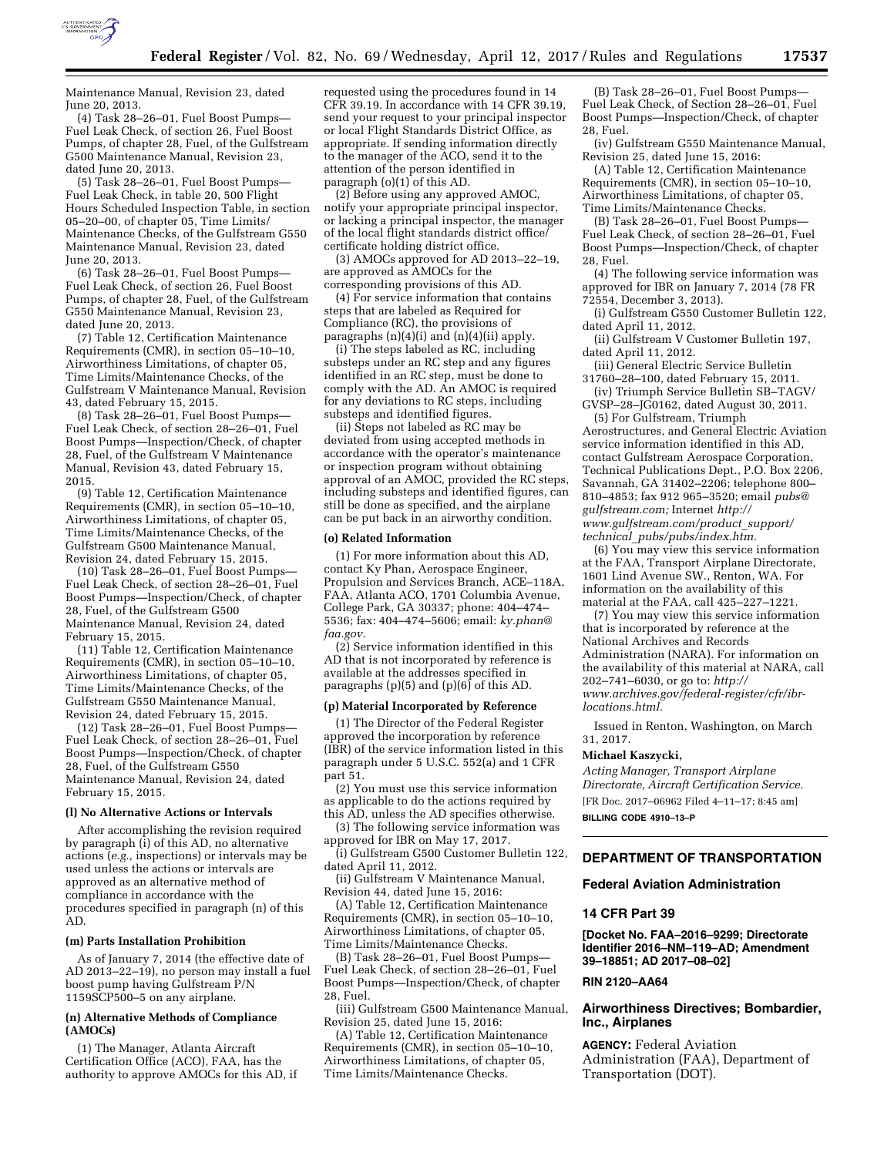

Maintenance Manual, Revision 23, dated June 20, 2013.

(4) Task 28–26–01, Fuel Boost Pumps— Fuel Leak Check, of section 26, Fuel Boost Pumps, of chapter 28, Fuel, of the Gulfstream G500 Maintenance Manual, Revision 23, dated June 20, 2013.

 $(5)$  Task 28-26-01, Fuel Boost Pumps-Fuel Leak Check, in table 20, 500 Flight Hours Scheduled Inspection Table, in section 05–20–00, of chapter 05, Time Limits/ Maintenance Checks, of the Gulfstream G550 Maintenance Manual, Revision 23, dated June 20, 2013.

(6) Task 28–26–01, Fuel Boost Pumps— Fuel Leak Check, of section 26, Fuel Boost Pumps, of chapter 28, Fuel, of the Gulfstream G550 Maintenance Manual, Revision 23, dated June 20, 2013.

(7) Table 12, Certification Maintenance Requirements (CMR), in section 05–10–10, Airworthiness Limitations, of chapter 05, Time Limits/Maintenance Checks, of the Gulfstream V Maintenance Manual, Revision 43, dated February 15, 2015.

(8) Task 28–26–01, Fuel Boost Pumps— Fuel Leak Check, of section 28–26–01, Fuel Boost Pumps—Inspection/Check, of chapter 28, Fuel, of the Gulfstream V Maintenance Manual, Revision 43, dated February 15, 2015.

(9) Table 12, Certification Maintenance Requirements (CMR), in section 05–10–10, Airworthiness Limitations, of chapter 05, Time Limits/Maintenance Checks, of the Gulfstream G500 Maintenance Manual, Revision 24, dated February 15, 2015.

(10) Task 28–26–01, Fuel Boost Pumps— Fuel Leak Check, of section 28–26–01, Fuel Boost Pumps—Inspection/Check, of chapter 28, Fuel, of the Gulfstream G500 Maintenance Manual, Revision 24, dated February 15, 2015.

(11) Table 12, Certification Maintenance Requirements (CMR), in section 05–10–10, Airworthiness Limitations, of chapter 05, Time Limits/Maintenance Checks, of the Gulfstream G550 Maintenance Manual, Revision 24, dated February 15, 2015.

(12) Task 28–26–01, Fuel Boost Pumps— Fuel Leak Check, of section 28–26–01, Fuel Boost Pumps—Inspection/Check, of chapter 28, Fuel, of the Gulfstream G550 Maintenance Manual, Revision 24, dated February 15, 2015.

#### **(l) No Alternative Actions or Intervals**

After accomplishing the revision required by paragraph (i) of this AD, no alternative actions (*e.g.,* inspections) or intervals may be used unless the actions or intervals are approved as an alternative method of compliance in accordance with the procedures specified in paragraph (n) of this AD.

## **(m) Parts Installation Prohibition**

As of January 7, 2014 (the effective date of AD 2013–22–19), no person may install a fuel boost pump having Gulfstream P/N 1159SCP500–5 on any airplane.

# **(n) Alternative Methods of Compliance (AMOCs)**

(1) The Manager, Atlanta Aircraft Certification Office (ACO), FAA, has the authority to approve AMOCs for this AD, if

requested using the procedures found in 14 CFR 39.19. In accordance with 14 CFR 39.19, send your request to your principal inspector or local Flight Standards District Office, as appropriate. If sending information directly to the manager of the ACO, send it to the attention of the person identified in paragraph (o)(1) of this AD.

(2) Before using any approved AMOC, notify your appropriate principal inspector, or lacking a principal inspector, the manager of the local flight standards district office/ certificate holding district office.

(3) AMOCs approved for AD 2013–22–19, are approved as AMOCs for the corresponding provisions of this AD.

(4) For service information that contains steps that are labeled as Required for Compliance (RC), the provisions of paragraphs (n)(4)(i) and (n)(4)(ii) apply.

(i) The steps labeled as RC, including substeps under an RC step and any figures identified in an RC step, must be done to comply with the AD. An AMOC is required for any deviations to RC steps, including substeps and identified figures.

(ii) Steps not labeled as RC may be deviated from using accepted methods in accordance with the operator's maintenance or inspection program without obtaining approval of an AMOC, provided the RC steps, including substeps and identified figures, can still be done as specified, and the airplane can be put back in an airworthy condition.

#### **(o) Related Information**

(1) For more information about this AD, contact Ky Phan, Aerospace Engineer, Propulsion and Services Branch, ACE–118A, FAA, Atlanta ACO, 1701 Columbia Avenue, College Park, GA 30337; phone: 404–474– 5536; fax: 404–474–5606; email: *[ky.phan@](mailto:ky.phan@faa.gov) [faa.gov.](mailto:ky.phan@faa.gov)* 

(2) Service information identified in this AD that is not incorporated by reference is available at the addresses specified in paragraphs (p)(5) and (p)(6) of this AD.

#### **(p) Material Incorporated by Reference**

(1) The Director of the Federal Register approved the incorporation by reference (IBR) of the service information listed in this paragraph under 5 U.S.C. 552(a) and 1 CFR part 51.

(2) You must use this service information as applicable to do the actions required by this AD, unless the AD specifies otherwise.

(3) The following service information was approved for IBR on May 17, 2017.

(i) Gulfstream G500 Customer Bulletin 122, dated April 11, 2012.

(ii) Gulfstream V Maintenance Manual, Revision 44, dated June 15, 2016:

(A) Table 12, Certification Maintenance Requirements (CMR), in section 05–10–10, Airworthiness Limitations, of chapter 05, Time Limits/Maintenance Checks.

(B) Task 28–26–01, Fuel Boost Pumps— Fuel Leak Check, of section 28–26–01, Fuel Boost Pumps—Inspection/Check, of chapter 28, Fuel.

(iii) Gulfstream G500 Maintenance Manual, Revision 25, dated June 15, 2016:

(A) Table 12, Certification Maintenance Requirements (CMR), in section 05–10–10, Airworthiness Limitations, of chapter 05, Time Limits/Maintenance Checks.

(B) Task 28-26-01, Fuel Boost Pumps-Fuel Leak Check, of Section 28–26–01, Fuel Boost Pumps—Inspection/Check, of chapter 28, Fuel.

(iv) Gulfstream G550 Maintenance Manual, Revision 25, dated June 15, 2016:

(A) Table 12, Certification Maintenance Requirements (CMR), in section 05–10–10, Airworthiness Limitations, of chapter 05, Time Limits/Maintenance Checks.

(B) Task 28–26–01, Fuel Boost Pumps— Fuel Leak Check, of section 28–26–01, Fuel Boost Pumps—Inspection/Check, of chapter 28, Fuel.

(4) The following service information was approved for IBR on January 7, 2014 (78 FR 72554, December 3, 2013).

(i) Gulfstream G550 Customer Bulletin 122, dated April 11, 2012.

(ii) Gulfstream V Customer Bulletin 197, dated April 11, 2012.

(iii) General Electric Service Bulletin 31760–28–100, dated February 15, 2011.

(iv) Triumph Service Bulletin SB–TAGV/

GVSP–28–JG0162, dated August 30, 2011. (5) For Gulfstream, Triumph

Aerostructures, and General Electric Aviation service information identified in this AD, contact Gulfstream Aerospace Corporation, Technical Publications Dept., P.O. Box 2206, Savannah, GA 31402–2206; telephone 800– 810–4853; fax 912 965–3520; email *[pubs@](mailto:pubs@gulfstream.com) [gulfstream.com;](mailto:pubs@gulfstream.com)* Internet *[http://](http://www.gulfstream.com/product_support/technical_pubs/pubs/index.htm) [www.gulfstream.com/product](http://www.gulfstream.com/product_support/technical_pubs/pubs/index.htm)*\_*support/ technical*\_*[pubs/pubs/index.htm.](http://www.gulfstream.com/product_support/technical_pubs/pubs/index.htm)* 

(6) You may view this service information at the FAA, Transport Airplane Directorate, 1601 Lind Avenue SW., Renton, WA. For information on the availability of this material at the FAA, call 425–227–1221.

(7) You may view this service information that is incorporated by reference at the National Archives and Records Administration (NARA). For information on the availability of this material at NARA, call 202–741–6030, or go to: *[http://](http://www.archives.gov/federal-register/cfr/ibr-locations.html) [www.archives.gov/federal-register/cfr/ibr](http://www.archives.gov/federal-register/cfr/ibr-locations.html)[locations.html.](http://www.archives.gov/federal-register/cfr/ibr-locations.html)* 

Issued in Renton, Washington, on March 31, 2017.

#### **Michael Kaszycki,**

*Acting Manager, Transport Airplane Directorate, Aircraft Certification Service.* 

[FR Doc. 2017–06962 Filed 4–11–17; 8:45 am] **BILLING CODE 4910–13–P** 

# **DEPARTMENT OF TRANSPORTATION**

#### **Federal Aviation Administration**

# **14 CFR Part 39**

**[Docket No. FAA–2016–9299; Directorate Identifier 2016–NM–119–AD; Amendment 39–18851; AD 2017–08–02]** 

#### **RIN 2120–AA64**

### **Airworthiness Directives; Bombardier, Inc., Airplanes**

**AGENCY:** Federal Aviation Administration (FAA), Department of Transportation (DOT).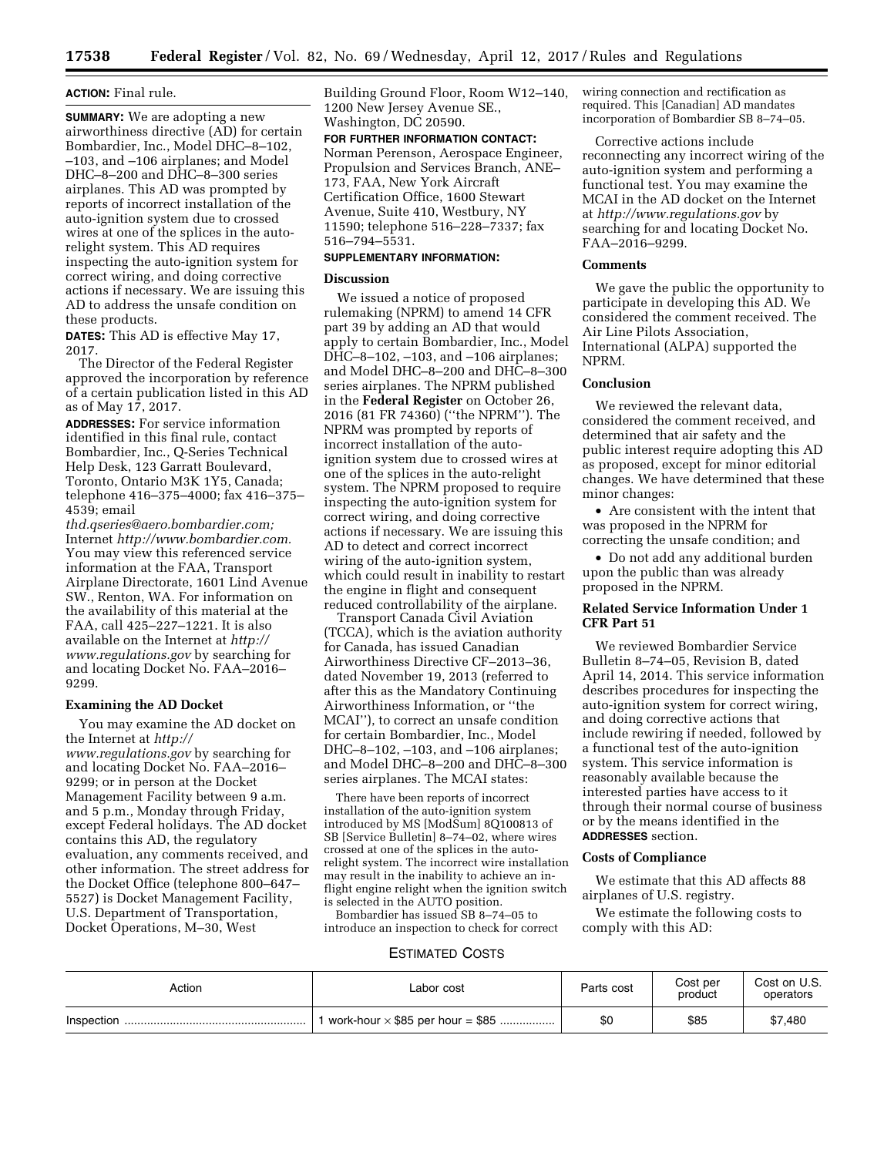# **ACTION:** Final rule.

**SUMMARY:** We are adopting a new airworthiness directive (AD) for certain Bombardier, Inc., Model DHC–8–102, –103, and –106 airplanes; and Model DHC–8–200 and DHC–8–300 series airplanes. This AD was prompted by reports of incorrect installation of the auto-ignition system due to crossed wires at one of the splices in the autorelight system. This AD requires inspecting the auto-ignition system for correct wiring, and doing corrective actions if necessary. We are issuing this AD to address the unsafe condition on these products.

**DATES:** This AD is effective May 17, 2017.

The Director of the Federal Register approved the incorporation by reference of a certain publication listed in this AD as of May 17, 2017.

**ADDRESSES:** For service information identified in this final rule, contact Bombardier, Inc., Q-Series Technical Help Desk, 123 Garratt Boulevard, Toronto, Ontario M3K 1Y5, Canada; telephone 416–375–4000; fax 416–375– 4539; email

*[thd.qseries@aero.bombardier.com;](mailto:thd.qseries@aero.bombardier.com)*  Internet *[http://www.bombardier.com.](http://www.bombardier.com)*  You may view this referenced service information at the FAA, Transport Airplane Directorate, 1601 Lind Avenue SW., Renton, WA. For information on the availability of this material at the FAA, call 425–227–1221. It is also available on the Internet at *[http://](http://www.regulations.gov) [www.regulations.gov](http://www.regulations.gov)* by searching for and locating Docket No. FAA–2016– 9299.

# **Examining the AD Docket**

You may examine the AD docket on the Internet at *[http://](http://www.regulations.gov)  [www.regulations.gov](http://www.regulations.gov)* by searching for and locating Docket No. FAA–2016– 9299; or in person at the Docket Management Facility between 9 a.m. and 5 p.m., Monday through Friday, except Federal holidays. The AD docket contains this AD, the regulatory evaluation, any comments received, and other information. The street address for the Docket Office (telephone 800–647– 5527) is Docket Management Facility, U.S. Department of Transportation, Docket Operations, M–30, West

Building Ground Floor, Room W12–140, 1200 New Jersey Avenue SE., Washington, DC 20590.

### **FOR FURTHER INFORMATION CONTACT:**

Norman Perenson, Aerospace Engineer, Propulsion and Services Branch, ANE– 173, FAA, New York Aircraft Certification Office, 1600 Stewart Avenue, Suite 410, Westbury, NY 11590; telephone 516–228–7337; fax 516–794–5531.

# **SUPPLEMENTARY INFORMATION:**

## **Discussion**

We issued a notice of proposed rulemaking (NPRM) to amend 14 CFR part 39 by adding an AD that would apply to certain Bombardier, Inc., Model DHC–8–102, –103, and –106 airplanes; and Model DHC–8–200 and DHC–8–300 series airplanes. The NPRM published in the **Federal Register** on October 26, 2016 (81 FR 74360) (''the NPRM''). The NPRM was prompted by reports of incorrect installation of the autoignition system due to crossed wires at one of the splices in the auto-relight system. The NPRM proposed to require inspecting the auto-ignition system for correct wiring, and doing corrective actions if necessary. We are issuing this AD to detect and correct incorrect wiring of the auto-ignition system, which could result in inability to restart the engine in flight and consequent reduced controllability of the airplane.

Transport Canada Civil Aviation (TCCA), which is the aviation authority for Canada, has issued Canadian Airworthiness Directive CF–2013–36, dated November 19, 2013 (referred to after this as the Mandatory Continuing Airworthiness Information, or ''the MCAI''), to correct an unsafe condition for certain Bombardier, Inc., Model DHC–8–102, –103, and –106 airplanes; and Model DHC–8–200 and DHC–8–300 series airplanes. The MCAI states:

There have been reports of incorrect installation of the auto-ignition system introduced by MS [ModSum] 8Q100813 of SB [Service Bulletin] 8–74–02, where wires crossed at one of the splices in the autorelight system. The incorrect wire installation may result in the inability to achieve an inflight engine relight when the ignition switch is selected in the AUTO position.

Bombardier has issued SB 8–74–05 to introduce an inspection to check for correct wiring connection and rectification as required. This [Canadian] AD mandates incorporation of Bombardier SB 8–74–05.

Corrective actions include reconnecting any incorrect wiring of the auto-ignition system and performing a functional test. You may examine the MCAI in the AD docket on the Internet at *<http://www.regulations.gov>* by searching for and locating Docket No. FAA–2016–9299.

# **Comments**

We gave the public the opportunity to participate in developing this AD. We considered the comment received. The Air Line Pilots Association, International (ALPA) supported the NPRM.

# **Conclusion**

We reviewed the relevant data, considered the comment received, and determined that air safety and the public interest require adopting this AD as proposed, except for minor editorial changes. We have determined that these minor changes:

• Are consistent with the intent that was proposed in the NPRM for correcting the unsafe condition; and

• Do not add any additional burden upon the public than was already proposed in the NPRM.

# **Related Service Information Under 1 CFR Part 51**

We reviewed Bombardier Service Bulletin 8–74–05, Revision B, dated April 14, 2014. This service information describes procedures for inspecting the auto-ignition system for correct wiring, and doing corrective actions that include rewiring if needed, followed by a functional test of the auto-ignition system. This service information is reasonably available because the interested parties have access to it through their normal course of business or by the means identified in the **ADDRESSES** section.

### **Costs of Compliance**

We estimate that this AD affects 88 airplanes of U.S. registry.

We estimate the following costs to comply with this AD:

#### ESTIMATED COSTS

| Action | Labor cost                              | Parts cost | Cost per<br>product | Cost on U.S.<br>operators |
|--------|-----------------------------------------|------------|---------------------|---------------------------|
|        | work-hour $\times$ \$85 per hour = \$85 | \$0        | \$85                | \$7,480                   |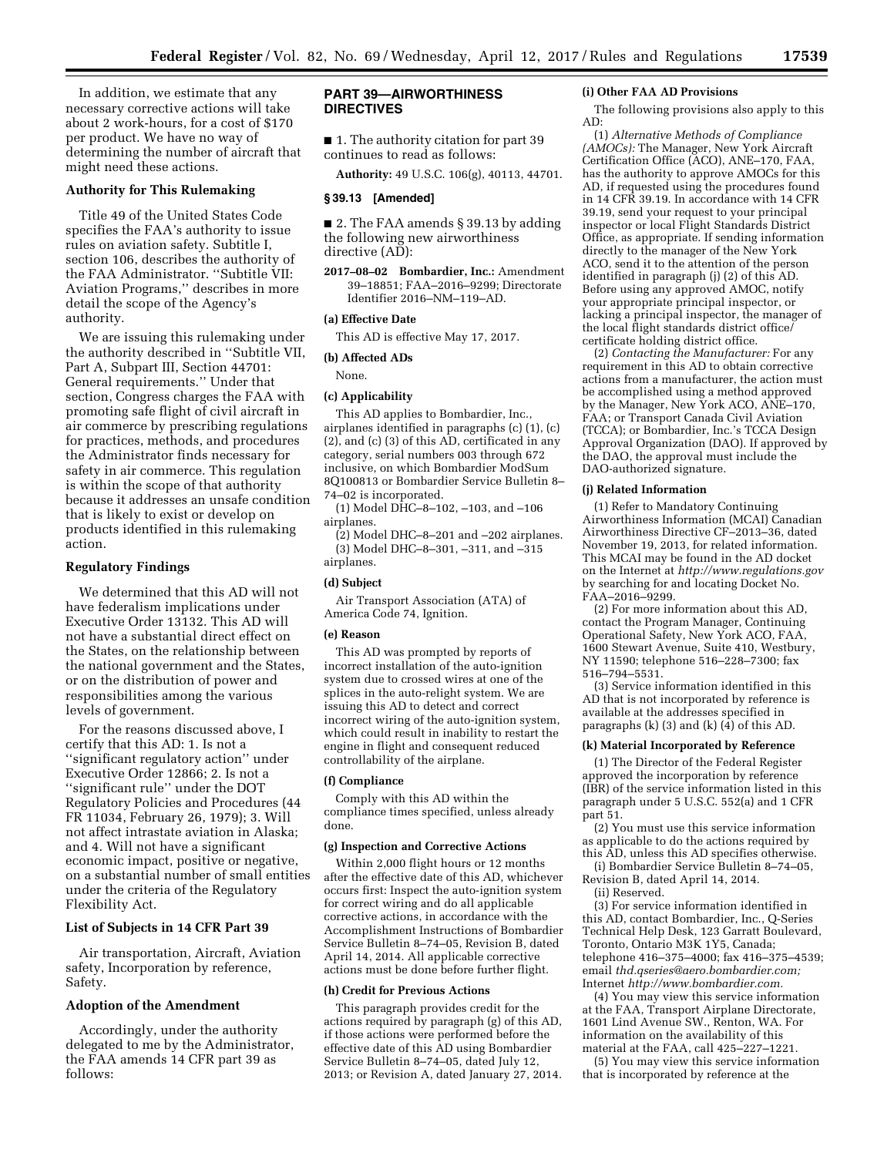In addition, we estimate that any necessary corrective actions will take about 2 work-hours, for a cost of \$170 per product. We have no way of determining the number of aircraft that might need these actions.

## **Authority for This Rulemaking**

Title 49 of the United States Code specifies the FAA's authority to issue rules on aviation safety. Subtitle I, section 106, describes the authority of the FAA Administrator. ''Subtitle VII: Aviation Programs,'' describes in more detail the scope of the Agency's authority.

We are issuing this rulemaking under the authority described in ''Subtitle VII, Part A, Subpart III, Section 44701: General requirements.'' Under that section, Congress charges the FAA with promoting safe flight of civil aircraft in air commerce by prescribing regulations for practices, methods, and procedures the Administrator finds necessary for safety in air commerce. This regulation is within the scope of that authority because it addresses an unsafe condition that is likely to exist or develop on products identified in this rulemaking action.

### **Regulatory Findings**

We determined that this AD will not have federalism implications under Executive Order 13132. This AD will not have a substantial direct effect on the States, on the relationship between the national government and the States, or on the distribution of power and responsibilities among the various levels of government.

For the reasons discussed above, I certify that this AD: 1. Is not a ''significant regulatory action'' under Executive Order 12866; 2. Is not a ''significant rule'' under the DOT Regulatory Policies and Procedures (44 FR 11034, February 26, 1979); 3. Will not affect intrastate aviation in Alaska; and 4. Will not have a significant economic impact, positive or negative, on a substantial number of small entities under the criteria of the Regulatory Flexibility Act.

# **List of Subjects in 14 CFR Part 39**

Air transportation, Aircraft, Aviation safety, Incorporation by reference, Safety.

### **Adoption of the Amendment**

Accordingly, under the authority delegated to me by the Administrator, the FAA amends 14 CFR part 39 as follows:

# **PART 39—AIRWORTHINESS DIRECTIVES**

■ 1. The authority citation for part 39 continues to read as follows:

**Authority:** 49 U.S.C. 106(g), 40113, 44701.

### **§ 39.13 [Amended]**

■ 2. The FAA amends § 39.13 by adding the following new airworthiness directive (AD):

**2017–08–02 Bombardier, Inc.:** Amendment 39–18851; FAA–2016–9299; Directorate Identifier 2016–NM–119–AD.

# **(a) Effective Date**

This AD is effective May 17, 2017.

# **(b) Affected ADs**

None.

#### **(c) Applicability**

This AD applies to Bombardier, Inc., airplanes identified in paragraphs (c) (1), (c) (2), and (c) (3) of this AD, certificated in any category, serial numbers 003 through 672 inclusive, on which Bombardier ModSum 8Q100813 or Bombardier Service Bulletin 8– 74–02 is incorporated.

(1) Model DHC–8–102, –103, and –106 airplanes.

(2) Model DHC–8–201 and –202 airplanes. (3) Model DHC–8–301, –311, and –315 airplanes.

### **(d) Subject**

Air Transport Association (ATA) of America Code 74, Ignition.

## **(e) Reason**

This AD was prompted by reports of incorrect installation of the auto-ignition system due to crossed wires at one of the splices in the auto-relight system. We are issuing this AD to detect and correct incorrect wiring of the auto-ignition system, which could result in inability to restart the engine in flight and consequent reduced controllability of the airplane.

#### **(f) Compliance**

Comply with this AD within the compliance times specified, unless already done.

#### **(g) Inspection and Corrective Actions**

Within 2,000 flight hours or 12 months after the effective date of this AD, whichever occurs first: Inspect the auto-ignition system for correct wiring and do all applicable corrective actions, in accordance with the Accomplishment Instructions of Bombardier Service Bulletin 8–74–05, Revision B, dated April 14, 2014. All applicable corrective actions must be done before further flight.

#### **(h) Credit for Previous Actions**

This paragraph provides credit for the actions required by paragraph (g) of this AD, if those actions were performed before the effective date of this AD using Bombardier Service Bulletin 8–74–05, dated July 12, 2013; or Revision A, dated January 27, 2014.

#### **(i) Other FAA AD Provisions**

The following provisions also apply to this AD:

(1) *Alternative Methods of Compliance (AMOCs):* The Manager, New York Aircraft Certification Office (ACO), ANE–170, FAA, has the authority to approve AMOCs for this AD, if requested using the procedures found in 14 CFR 39.19. In accordance with 14 CFR 39.19, send your request to your principal inspector or local Flight Standards District Office, as appropriate. If sending information directly to the manager of the New York ACO, send it to the attention of the person identified in paragraph (j) (2) of this AD. Before using any approved AMOC, notify your appropriate principal inspector, or lacking a principal inspector, the manager of the local flight standards district office/ certificate holding district office.

(2) *Contacting the Manufacturer:* For any requirement in this AD to obtain corrective actions from a manufacturer, the action must be accomplished using a method approved by the Manager, New York ACO, ANE–170, FAA; or Transport Canada Civil Aviation (TCCA); or Bombardier, Inc.'s TCCA Design Approval Organization (DAO). If approved by the DAO, the approval must include the DAO-authorized signature.

# **(j) Related Information**

(1) Refer to Mandatory Continuing Airworthiness Information (MCAI) Canadian Airworthiness Directive CF–2013–36, dated November 19, 2013, for related information. This MCAI may be found in the AD docket on the Internet at *<http://www.regulations.gov>*  by searching for and locating Docket No. FAA–2016–9299.

(2) For more information about this AD, contact the Program Manager, Continuing Operational Safety, New York ACO, FAA, 1600 Stewart Avenue, Suite 410, Westbury, NY 11590; telephone 516–228–7300; fax 516–794–5531.

(3) Service information identified in this AD that is not incorporated by reference is available at the addresses specified in paragraphs (k) (3) and (k)  $(\overline{4})$  of this AD.

# **(k) Material Incorporated by Reference**

(1) The Director of the Federal Register approved the incorporation by reference (IBR) of the service information listed in this paragraph under 5 U.S.C. 552(a) and 1 CFR part 51.

(2) You must use this service information as applicable to do the actions required by this AD, unless this AD specifies otherwise.

(i) Bombardier Service Bulletin 8–74–05, Revision B, dated April 14, 2014.

(ii) Reserved.

(3) For service information identified in this AD, contact Bombardier, Inc., Q-Series Technical Help Desk, 123 Garratt Boulevard, Toronto, Ontario M3K 1Y5, Canada; telephone 416–375–4000; fax 416–375–4539; email *[thd.qseries@aero.bombardier.com;](mailto:thd.qseries@aero.bombardier.com)*  Internet *[http://www.bombardier.com.](http://www.bombardier.com)* 

(4) You may view this service information at the FAA, Transport Airplane Directorate, 1601 Lind Avenue SW., Renton, WA. For information on the availability of this material at the FAA, call 425–227–1221.

(5) You may view this service information that is incorporated by reference at the